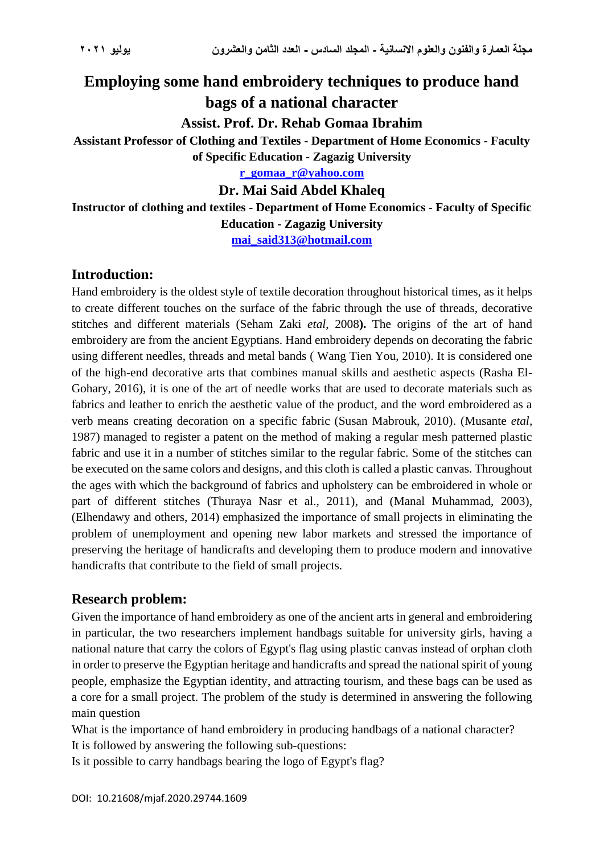# **Employing some hand embroidery techniques to produce hand bags of a national character Assist. Prof. Dr. Rehab Gomaa Ibrahim Assistant Professor of Clothing and Textiles - Department of Home Economics - Faculty of Specific Education - Zagazig University [r\\_gomaa\\_r@yahoo.com](mailto:r_gomaa_r@yahoo.com)**

**Dr. Mai Said Abdel Khaleq**

**Instructor of clothing and textiles - Department of Home Economics - Faculty of Specific Education - Zagazig University**

**[mai\\_said313@hotmail.com](mailto:mai_said313@hotmail.com)**

### **Introduction:**

Hand embroidery is the oldest style of textile decoration throughout historical times, as it helps to create different touches on the surface of the fabric through the use of threads, decorative stitches and different materials (Seham Zaki *etal*, 2008**).** The origins of the art of hand embroidery are from the ancient Egyptians. Hand embroidery depends on decorating the fabric using different needles, threads and metal bands ( Wang Tien You, 2010). It is considered one of the high-end decorative arts that combines manual skills and aesthetic aspects (Rasha El-Gohary, 2016), it is one of the art of needle works that are used to decorate materials such as fabrics and leather to enrich the aesthetic value of the product, and the word embroidered as a verb means creating decoration on a specific fabric (Susan Mabrouk, 2010). (Musante *etal*, 1987) managed to register a patent on the method of making a regular mesh patterned plastic fabric and use it in a number of stitches similar to the regular fabric. Some of the stitches can be executed on the same colors and designs, and this cloth is called a plastic canvas. Throughout the ages with which the background of fabrics and upholstery can be embroidered in whole or part of different stitches (Thuraya Nasr et al., 2011), and (Manal Muhammad, 2003), (Elhendawy and others, 2014) emphasized the importance of small projects in eliminating the problem of unemployment and opening new labor markets and stressed the importance of preserving the heritage of handicrafts and developing them to produce modern and innovative handicrafts that contribute to the field of small projects.

#### **Research problem:**

Given the importance of hand embroidery as one of the ancient arts in general and embroidering in particular, the two researchers implement handbags suitable for university girls, having a national nature that carry the colors of Egypt's flag using plastic canvas instead of orphan cloth in order to preserve the Egyptian heritage and handicrafts and spread the national spirit of young people, emphasize the Egyptian identity, and attracting tourism, and these bags can be used as a core for a small project. The problem of the study is determined in answering the following main question

What is the importance of hand embroidery in producing handbags of a national character? It is followed by answering the following sub-questions:

Is it possible to carry handbags bearing the logo of Egypt's flag?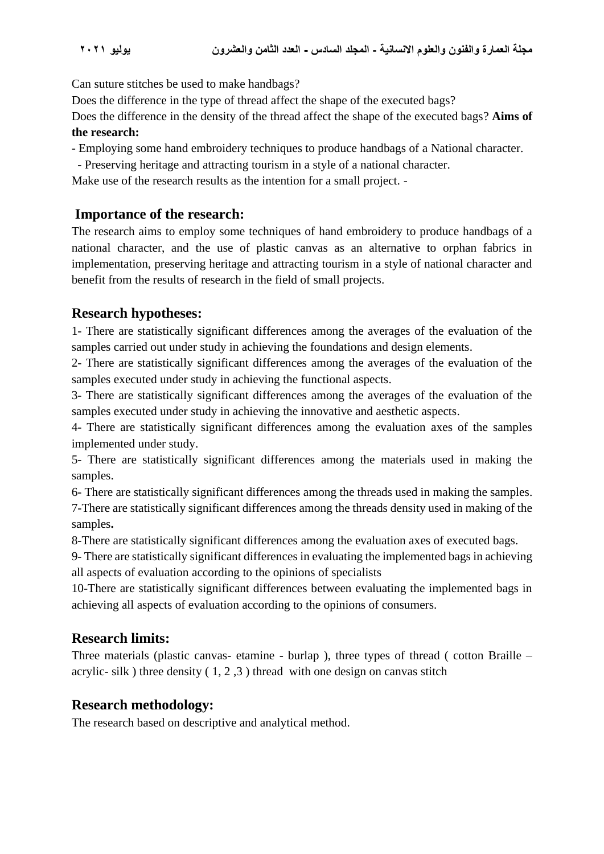Can suture stitches be used to make handbags?

Does the difference in the type of thread affect the shape of the executed bags?

Does the difference in the density of the thread affect the shape of the executed bags? **Aims of the research:**

- Employing some hand embroidery techniques to produce handbags of a National character.

- Preserving heritage and attracting tourism in a style of a national character.

Make use of the research results as the intention for a small project. -

### **Importance of the research:**

The research aims to employ some techniques of hand embroidery to produce handbags of a national character, and the use of plastic canvas as an alternative to orphan fabrics in implementation, preserving heritage and attracting tourism in a style of national character and benefit from the results of research in the field of small projects.

## **Research hypotheses:**

1- There are statistically significant differences among the averages of the evaluation of the samples carried out under study in achieving the foundations and design elements.

2- There are statistically significant differences among the averages of the evaluation of the samples executed under study in achieving the functional aspects.

3- There are statistically significant differences among the averages of the evaluation of the samples executed under study in achieving the innovative and aesthetic aspects.

4- There are statistically significant differences among the evaluation axes of the samples implemented under study.

5- There are statistically significant differences among the materials used in making the samples.

6- There are statistically significant differences among the threads used in making the samples.

7-There are statistically significant differences among the threads density used in making of the samples**.**

8-There are statistically significant differences among the evaluation axes of executed bags.

9- There are statistically significant differences in evaluating the implemented bags in achieving all aspects of evaluation according to the opinions of specialists

10-There are statistically significant differences between evaluating the implemented bags in achieving all aspects of evaluation according to the opinions of consumers.

## **Research limits:**

Three materials (plastic canvas- etamine - burlap ), three types of thread ( cotton Braille – acrylic- silk) three density  $(1, 2, 3)$  thread with one design on canvas stitch

## **Research methodology:**

The research based on descriptive and analytical method.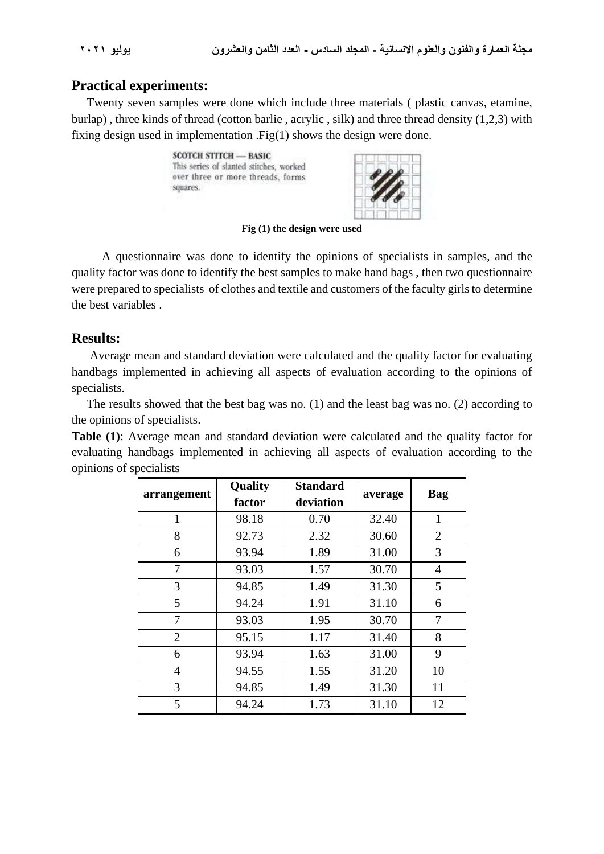#### **Practical experiments:**

 Twenty seven samples were done which include three materials ( plastic canvas, etamine, burlap) , three kinds of thread (cotton barlie , acrylic , silk) and three thread density (1,2,3) with fixing design used in implementation .Fig(1) shows the design were done.





**Fig (1) the design were used**

 A questionnaire was done to identify the opinions of specialists in samples, and the quality factor was done to identify the best samples to make hand bags , then two questionnaire were prepared to specialists of clothes and textile and customers of the faculty girls to determine the best variables .

#### **Results:**

Average mean and standard deviation were calculated and the quality factor for evaluating handbags implemented in achieving all aspects of evaluation according to the opinions of specialists.

 The results showed that the best bag was no. (1) and the least bag was no. (2) according to the opinions of specialists.

**Table (1)**: Average mean and standard deviation were calculated and the quality factor for evaluating handbags implemented in achieving all aspects of evaluation according to the opinions of specialists

| arrangement    | <b>Quality</b><br>factor | <b>Standard</b><br>deviation | average | Bag            |
|----------------|--------------------------|------------------------------|---------|----------------|
| 1              | 98.18                    | 0.70                         | 32.40   | $\mathbf{1}$   |
| 8              | 92.73                    | 2.32                         | 30.60   | $\overline{2}$ |
| 6              | 93.94                    | 1.89                         | 31.00   | 3              |
| 7              | 93.03                    | 1.57                         | 30.70   | 4              |
| 3              | 94.85                    | 1.49                         | 31.30   | 5              |
| 5              | 94.24                    | 1.91                         | 31.10   | 6              |
| 7              | 93.03                    | 1.95                         | 30.70   | $\overline{7}$ |
| $\overline{2}$ | 95.15                    | 1.17                         | 31.40   | 8              |
| 6              | 93.94                    | 1.63                         | 31.00   | 9              |
| $\overline{4}$ | 94.55                    | 1.55                         | 31.20   | 10             |
| 3              | 94.85                    | 1.49                         | 31.30   | 11             |
| 5              | 94.24                    | 1.73                         | 31.10   | 12             |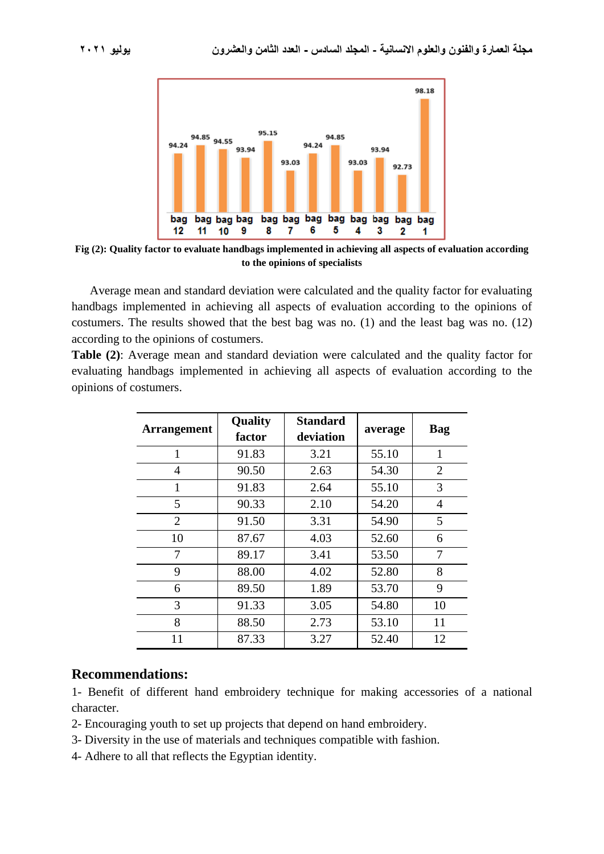

**Fig (2): Quality factor to evaluate handbags implemented in achieving all aspects of evaluation according to the opinions of specialists**

Average mean and standard deviation were calculated and the quality factor for evaluating handbags implemented in achieving all aspects of evaluation according to the opinions of costumers. The results showed that the best bag was no. (1) and the least bag was no. (12) according to the opinions of costumers.

**Table (2)**: Average mean and standard deviation were calculated and the quality factor for evaluating handbags implemented in achieving all aspects of evaluation according to the opinions of costumers.

| <b>Arrangement</b> | <b>Quality</b><br>factor | <b>Standard</b><br>deviation | average | Bag            |
|--------------------|--------------------------|------------------------------|---------|----------------|
| 1                  | 91.83                    | 3.21                         | 55.10   | $\mathbf{1}$   |
| 4                  | 90.50                    | 2.63                         | 54.30   | $\overline{2}$ |
| 1                  | 91.83                    | 2.64                         | 55.10   | 3              |
| 5                  | 90.33                    | 2.10                         | 54.20   | 4              |
| $\overline{2}$     | 91.50                    | 3.31                         | 54.90   | 5              |
| 10                 | 87.67                    | 4.03                         | 52.60   | 6              |
| 7                  | 89.17                    | 3.41                         | 53.50   | 7              |
| 9                  | 88.00                    | 4.02                         | 52.80   | 8              |
| 6                  | 89.50                    | 1.89                         | 53.70   | 9              |
| 3                  | 91.33                    | 3.05                         | 54.80   | 10             |
| 8                  | 88.50                    | 2.73                         | 53.10   | 11             |
| 11                 | 87.33                    | 3.27                         | 52.40   | 12             |

#### **Recommendations:**

1- Benefit of different hand embroidery technique for making accessories of a national character.

- 2- Encouraging youth to set up projects that depend on hand embroidery.
- 3- Diversity in the use of materials and techniques compatible with fashion.
- 4- Adhere to all that reflects the Egyptian identity.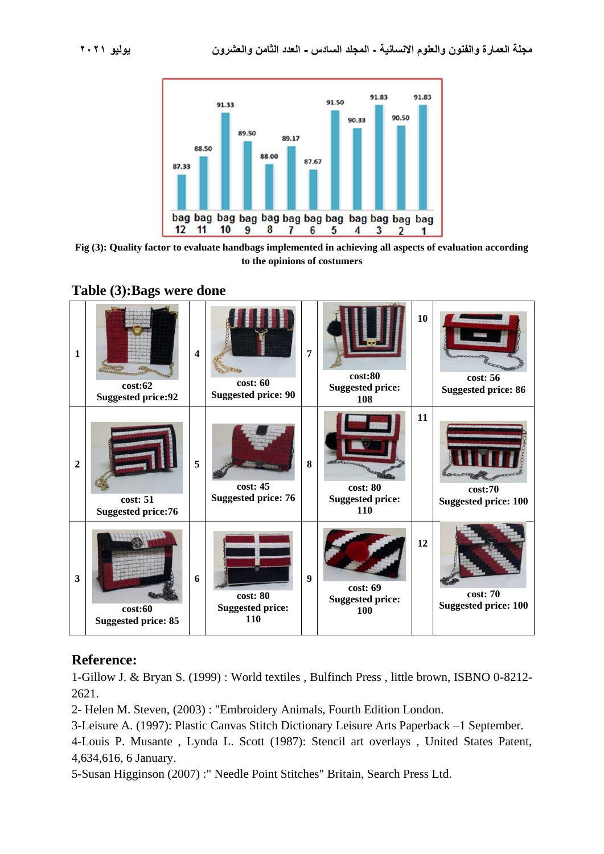



**Fig (3): Quality factor to evaluate handbags implemented in achieving all aspects of evaluation according to the opinions of costumers**



### **Table (3):Bags were done**

## **Reference:**

1-Gillow J. & Bryan S. (1999) : World textiles , Bulfinch Press , little brown, ISBNO 0-8212- 2621.

2- Helen M. Steven, (2003) : "Embroidery Animals, Fourth Edition London.

3-Leisure A. (1997): Plastic Canvas Stitch Dictionary Leisure Arts Paperback –1 September.

4-Louis P. Musante , Lynda L. Scott (1987): Stencil art overlays , United States Patent, 4,634,616, 6 January.

5-Susan Higginson (2007) :" Needle Point Stitches" Britain, Search Press Ltd.